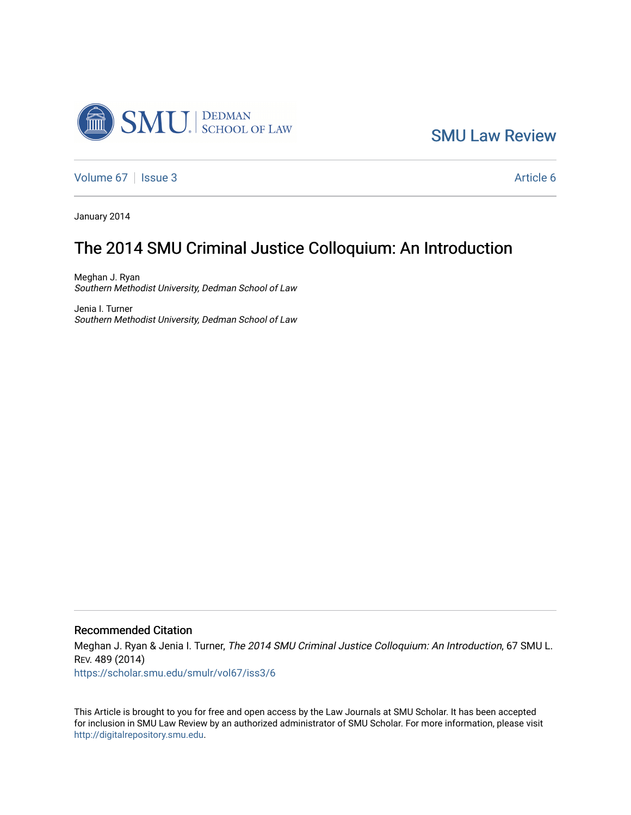

[SMU Law Review](https://scholar.smu.edu/smulr) 

[Volume 67](https://scholar.smu.edu/smulr/vol67) | [Issue 3](https://scholar.smu.edu/smulr/vol67/iss3) Article 6

January 2014

## The 2014 SMU Criminal Justice Colloquium: An Introduction

Meghan J. Ryan Southern Methodist University, Dedman School of Law

Jenia I. Turner Southern Methodist University, Dedman School of Law

## Recommended Citation

Meghan J. Ryan & Jenia I. Turner, The 2014 SMU Criminal Justice Colloquium: An Introduction, 67 SMU L. REV. 489 (2014) [https://scholar.smu.edu/smulr/vol67/iss3/6](https://scholar.smu.edu/smulr/vol67/iss3/6?utm_source=scholar.smu.edu%2Fsmulr%2Fvol67%2Fiss3%2F6&utm_medium=PDF&utm_campaign=PDFCoverPages) 

This Article is brought to you for free and open access by the Law Journals at SMU Scholar. It has been accepted for inclusion in SMU Law Review by an authorized administrator of SMU Scholar. For more information, please visit [http://digitalrepository.smu.edu.](http://digitalrepository.smu.edu/)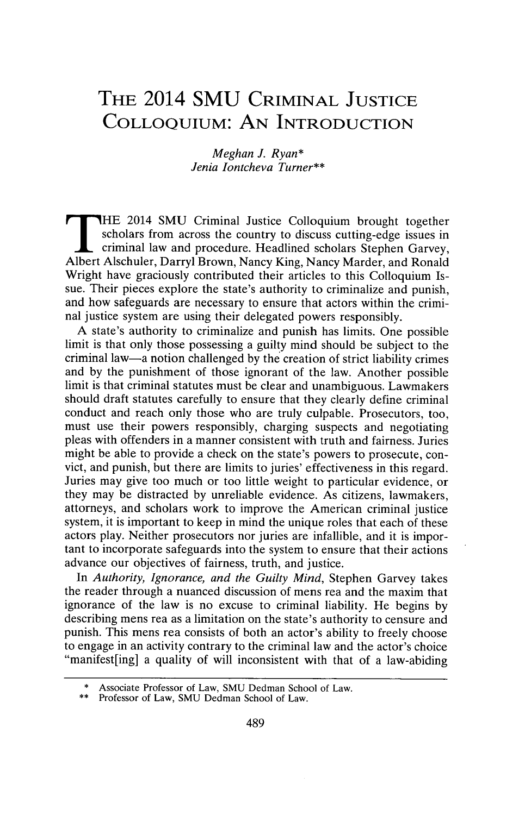## **THE 2014 SMU CRIMINAL JUSTICE COLLOQUIUM: AN INTRODUCTION**

*Meghan J. Ryan\* Jenia lontcheva Turner\*\**

THE 2014 SMU Criminal Justice Colloquium brought together scholars from across the country to discuss cutting-edge issues in criminal law and procedure. Headlined scholars Stephen Garvey, Albert Alschuler, Darryl Brown, Nancy King, Nancy Marder, and Ronald Wright have graciously contributed their articles to this Colloquium Issue. Their pieces explore the state's authority to criminalize and punish, and how safeguards are necessary to ensure that actors within the criminal justice system are using their delegated powers responsibly.

**A** state's authority to criminalize and punish has limits. One possible limit is that only those possessing a guilty mind should be subject to the criminal law-a notion challenged **by** the creation of strict liability crimes and **by** the punishment of those ignorant of the law. Another possible limit is that criminal statutes must be clear and unambiguous. Lawmakers should draft statutes carefully to ensure that they clearly define criminal conduct and reach only those who are truly culpable. Prosecutors, too, must use their powers responsibly, charging suspects and negotiating pleas with offenders in a manner consistent with truth and fairness. Juries might be able to provide a check on the state's powers to prosecute, convict, and punish, but there are limits to juries' effectiveness in this regard. Juries may give too much or too little weight to particular evidence, or they may be distracted **by** unreliable evidence. As citizens, lawmakers, attorneys, and scholars work to improve the American criminal justice system, it is important to keep in mind the unique roles that each of these actors play. Neither prosecutors nor juries are infallible, and it is important to incorporate safeguards into the system to ensure that their actions advance our objectives of fairness, truth, and justice.

*In Authority, Ignorance, and the Guilty Mind,* Stephen Garvey takes the reader through a nuanced discussion of mens rea and the maxim that ignorance of the law is no excuse to criminal liability. He begins **by** describing mens rea as a limitation on the state's authority to censure and punish. This mens rea consists of both an actor's ability to freely choose to engage in an activity contrary to the criminal law and the actor's choice "manifest[ing] a quality of will inconsistent with that of a law-abiding

<sup>\*</sup>Associate Professor of Law, **SMU** Dedman School of Law.

Professor of Law, SMU Dedman School of Law.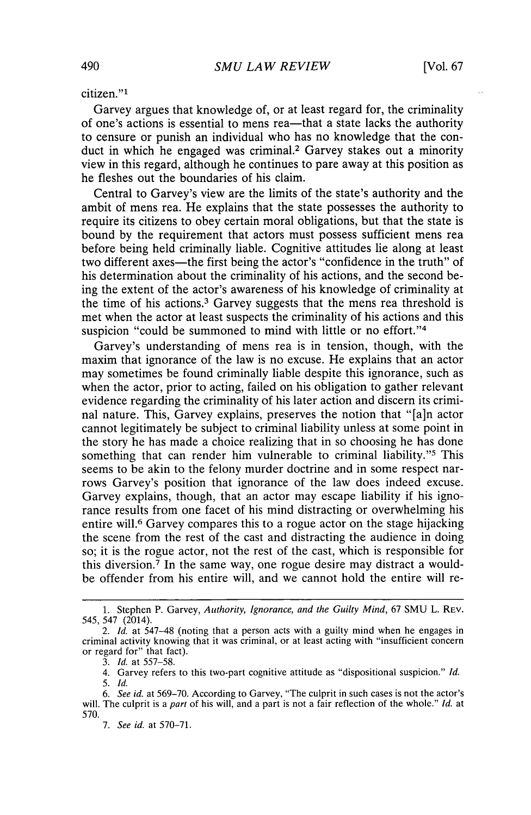citizen."<sup>1</sup>

Garvey argues that knowledge of, or at least regard for, the criminality of one's actions is essential to mens rea—that a state lacks the authority to censure or punish an individual who has no knowledge that the conduct in which he engaged was criminal.<sup>2</sup> Garvey stakes out a minority view in this regard, although he continues to pare away at this position as he fleshes out the boundaries of his claim.

Central to Garvey's view are the limits of the state's authority and the ambit of mens rea. He explains that the state possesses the authority to require its citizens to obey certain moral obligations, but that the state is bound **by** the requirement that actors must possess sufficient mens rea before being held criminally liable. Cognitive attitudes lie along at least two different axes—the first being the actor's "confidence in the truth" of his determination about the criminality of his actions, and the second being the extent of the actor's awareness of his knowledge of criminality at the time of his actions.3 Garvey suggests that the mens rea threshold is met when the actor at least suspects the criminality of his actions and this suspicion "could be summoned to mind with little or no effort."<sup>4</sup>

Garvey's understanding of mens rea is in tension, though, with the maxim that ignorance of the law is no excuse. He explains that an actor may sometimes be found criminally liable despite this ignorance, such as when the actor, prior to acting, failed on his obligation to gather relevant evidence regarding the criminality of his later action and discern its criminal nature. This, Garvey explains, preserves the notion that "[a]n actor cannot legitimately be subject to criminal liability unless at some point in the story he has made a choice realizing that in so choosing he has done something that can render him vulnerable to criminal liability."<sup>5</sup> This seems to be akin to the felony murder doctrine and in some respect narrows Garvey's position that ignorance of the law does indeed excuse. Garvey explains, though, that an actor may escape liability if his ignorance results from one facet of his mind distracting or overwhelming his entire will.<sup>6</sup> Garvey compares this to a rogue actor on the stage hijacking the scene from the rest of the cast and distracting the audience in doing so; it is the rogue actor, not the rest of the cast, which is responsible for this diversion.<sup>7</sup> In the same way, one rogue desire may distract a wouldbe offender from his entire will, and we cannot hold the entire will re-

**<sup>1.</sup>** Stephen P. Garvey, *Authority, Ignorance, and the Guilty Mind, 67* **SMU** L. **REV.** 545, *547* (2014).

<sup>2.</sup> *Id. at* 547-48 (noting that a person acts with a guilty mind when he engages in criminal activity knowing that it was criminal, or at least acting with "insufficient concern or regard for" that fact).

*<sup>3.</sup> Id.* at **557-58.**

<sup>4.</sup> Garvey refers to this two-part cognitive attitude as "dispositional suspicion." *Id. 5. Id.*

*<sup>6.</sup> See id.* at **569-70.** According to Garvey, "The culprit in such cases is not the actor's will. The culprit is a *part* of his will, and a part is not a fair reflection of the whole." *Id.* at **570.**

*<sup>7.</sup> See id.* at **570-71.**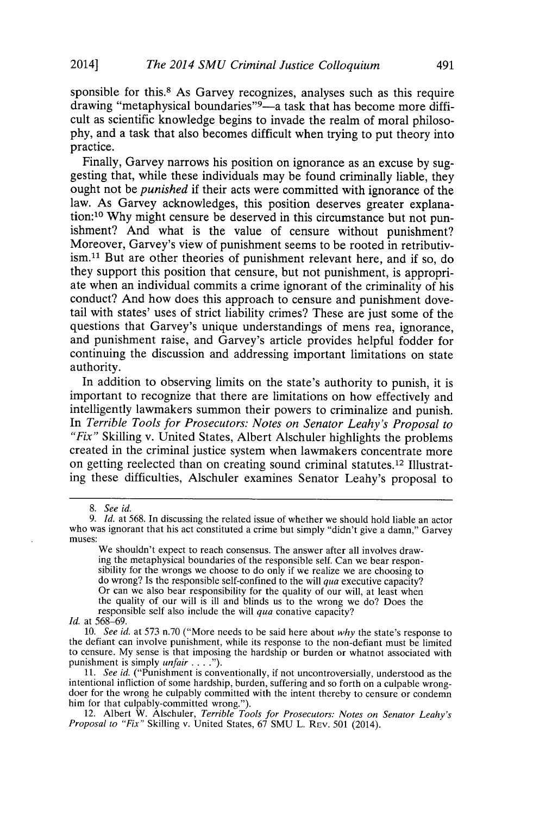sponsible for this.<sup>8</sup> As Garvey recognizes, analyses such as this require drawing "metaphysical boundaries"<sup>9</sup>—a task that has become more difficult as scientific knowledge begins to invade the realm of moral philoso**phy,** and a task that also becomes difficult when trying to put theory into practice.

Finally, Garvey narrows his position on ignorance as an excuse **by** suggesting that, while these individuals may be found criminally liable, they ought not be *punished* if their acts were committed with ignorance of the law. As Garvey acknowledges, this position deserves greater explanation:10 **Why** might censure be deserved in this circumstance but not punishment? And what is the value of censure without punishment? Moreover, Garvey's view of punishment seems to be rooted in retributiv- $\sim$  ism.<sup>11</sup> But are other theories of punishment relevant here, and if so, do they support this position that censure, but not punishment, is appropriate when an individual commits a crime ignorant of the criminality of his conduct? And how does this approach to censure and punishment dovetail with states' uses of strict liability crimes? These are just some of the and punishment raise, and Garvey's article provides helpful fodder for continuing the discussion and addressing important limitations on state authority.

In addition to observing limits on the state's authority to punish, it is important to recognize that there are limitations on how effectively and intelligently lawmakers summon their powers to criminalize and punish. *In Terrible Tools for Prosecutors: Notes on Senator Leahy's Proposal to "Fix"* Skilling v. United States, Albert Alschuler highlights the problems created in the criminal justice system when lawmakers concentrate more on getting reelected than on creating sound criminal statutes. 12 Illustrating these difficulties, Alschuler examines Senator Leahy's proposal to

*Id.* at **568-69.**

*<sup>8.</sup> See id.*

*<sup>9.</sup> Id. at* **568.** In discussing the related issue of whether we should hold liable an actor who was ignorant that his act constituted a crime but simply "didn't give a damn," Garvey **muses:**

We shouldn't expect to reach consensus. The answer after all involves drawing the metaphysical boundaries of the responsible self. Can we bear responsibility for the wrongs we choose to do only if we realize we are choosing to do wrong? Is the responsible self-confined to the will *qua* executi Or can we also bear responsibility for the quality of our will, at least when the quality of our will is ill and blinds us to the wrong we do? Does the responsible self also include the will *qua* conative capacity?

*<sup>10.</sup> See id.* at **573** n.70 ("More needs to be said here about *why* the state's response to the defiant can involve punishment, while its response to the non-defiant must be limited to censure. My sense is that imposing the hardship or burden or whatnot associated with punishment is simply *unfair .* **. . .").**

*<sup>11.</sup> See id.* ("Punishment is conventionally, if not uncontroversially, understood as the intentional infliction of some hardship, burden, suffering and so forth on a culpable wrong- doer for the wrong he culpably committed with the intent thereby to censure or condemn him for that culpably-committed wrong.").

<sup>12.</sup> Albert W. Alschuler, *Terrible Tools for Prosecutors: Notes on Senator Leahy's Proposal to "Fix"* Skilling v. United States, **67 SMU** L. **REv. 501** (2014).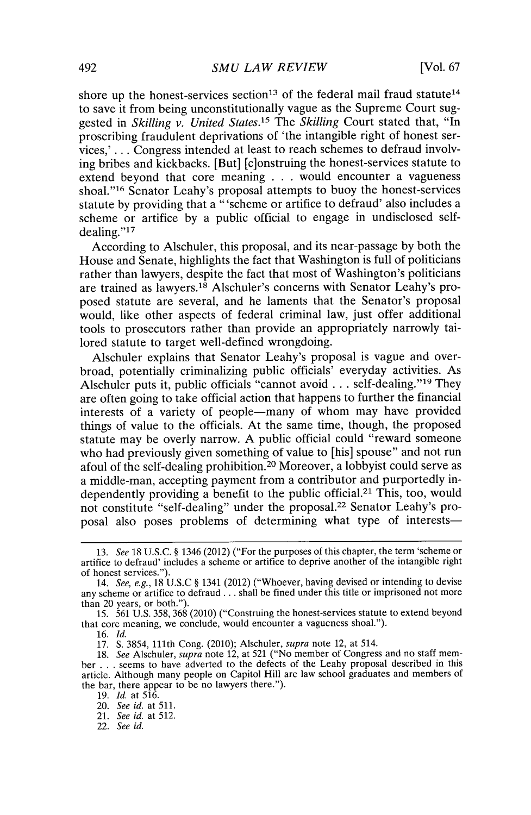shore up the honest-services section<sup>13</sup> of the federal mail fraud statute<sup>14</sup> to save it from being unconstitutionally vague as the Supreme Court suggested in *Skilling v. United States.15 The Skilling* Court stated that, "In proscribing fraudulent deprivations of 'the intangible right of honest services,' **. . .** Congress intended at least to reach schemes to defraud involving bribes and kickbacks. [But] [c]onstruing the honest-services statute to extend beyond that core meaning **. . .** would encounter a vagueness shoal."16 Senator Leahy's proposal attempts to buoy the honest-services statute **by** providing that a "'scheme or artifice to defraud' also includes a scheme or artifice **by** a public official to engage in undisclosed selfdealing. **"17**

According to Alschuler, this proposal, and its near-passage **by** both the House and Senate, highlights the fact that Washington is full of politicians rather than lawyers, despite the fact that most of Washington's politicians are trained as lawyers.<sup>18</sup> Alschuler's concerns with Senator Leahy's proposed statute are several, and he laments that the Senator's proposal would, like other aspects of federal criminal law, just offer additional tools to prosecutors rather than provide an appropriately narrowly tailored statute to target well-defined wrongdoing.

Alschuler explains that Senator Leahy's proposal is vague and overbroad, potentially criminalizing public officials' everyday activities. As Alschuler puts it, public officials "cannot avoid . . . self-dealing."<sup>19</sup> They are often going to take official action that happens to further the financial interests of a variety of people—many of whom may have provided things of value to the officials. At the same time, though, the proposed statute may be overly narrow. **A** public official could "reward someone who had previously given something of value to [his] spouse" and not run afoul of the self-dealing prohibition. 20 Moreover, a lobbyist could serve as a middle-man, accepting payment from a contributor and purportedly independently providing a benefit to the public official.21 This, too, would not constitute "self-dealing" under the proposal.22 Senator Leahy's proposal also poses problems of determining what type of interests—

**17. S. 3854,** 111th Cong. (2010); Alschuler, *supra* note 12, at 514.

22. *See id.*

**<sup>13.</sup>** *See* **18 U.S.C. §** 1346 (2012) ("For the purposes of this chapter, the term 'scheme or artifice to defraud' includes a scheme or artifice to deprive another of the intangible right of honest services.").

*<sup>14.</sup> See, e.g.,* **18 U.S.C §** 1341 (2012) ("Whoever, having devised or intending to devise any scheme or artifice to defraud **.** . **.** shall be fined under this title or imprisoned not more than 20 years, or both.").

**<sup>15. 561</sup> U.S. 358, 368** (2010) ("Construing the honest-services statute to extend beyond that core meaning, we conclude, would encounter a vagueness shoal.").

*<sup>16.</sup> Id.*

*<sup>18.</sup> See Alschuler, supra* note 12, at **521** ("No member of Congress and no staff member **. . .** seems to have adverted to the defects of the Leahy proposal described in this article. Although many people on Capitol Hill are law school graduates and members of the bar, there appear to be no lawyers there.").

*<sup>19.</sup> Id.* at **516.**

<sup>20.</sup> *See id.* at **511.**

<sup>21.</sup> *See id.* at **512.**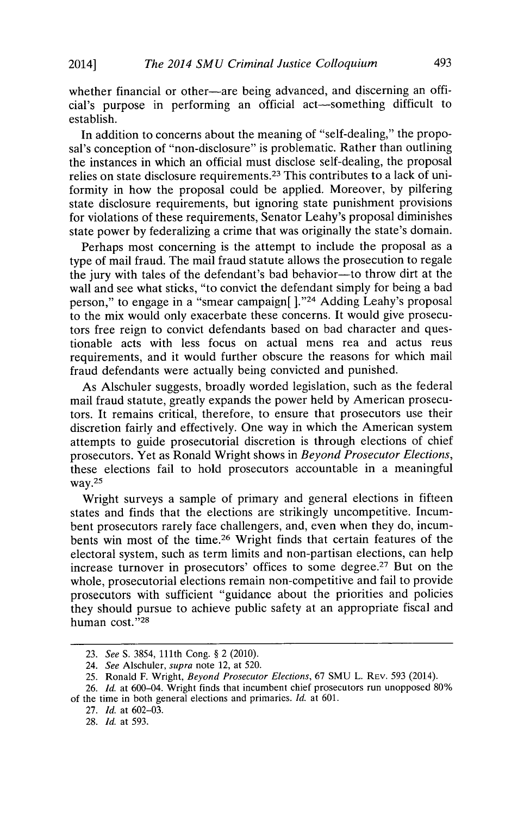whether financial or other-are being advanced, and discerning an official's purpose in performing an official act-something difficult to establish.

In addition to concerns about the meaning of "self-dealing," the proposal's conception of "non-disclosure" is problematic. Rather than outlining the instances in which an official must disclose self-dealing, the proposal relies on state disclosure requirements. 23 This contributes to a lack of uniformity in how the proposal could be applied. Moreover, **by** pilfering state disclosure requirements, but ignoring state punishment provisions for violations of these requirements, Senator Leahy's proposal diminishes state power **by** federalizing a crime that was originally the state's domain.

Perhaps most concerning is the attempt to include the proposal as a type of mail fraud. The mail fraud statute allows the prosecution to regale the jury with tales of the defendant's bad behavior-to throw dirt at the wall and see what sticks, "to convict the defendant simply for being a bad person," to engage in a "smear campaign[]."<sup>24</sup> Adding Leahy's proposal to the mix would only exacerbate these concerns. It would give prosecutors free reign to convict defendants based on bad character and questionable acts with less focus on actual mens rea and actus reus requirements, and it would further obscure the reasons for which mail fraud defendants were actually being convicted and punished.

As Alschuler suggests, broadly worded legislation, such as the federal mail fraud statute, greatly expands the power held **by** American prosecutors. It remains critical, therefore, to ensure that prosecutors use their discretion fairly and effectively. One way in which the American system attempts to guide prosecutorial discretion is through elections of chief prosecutors. Yet as Ronald Wright shows in *Beyond Prosecutor Elections,* these elections fail to hold prosecutors accountable in a meaningful way.<sup>25</sup>

Wright surveys a sample of primary and general elections in fifteen states and finds that the elections are strikingly uncompetitive. Incumbent prosecutors rarely face challengers, and, even when they do, incumbents win most of the time.26 Wright finds that certain features of the electoral system, such as term limits and non-partisan elections, can help increase turnover in prosecutors' offices to some degree.27 But on the whole, prosecutorial elections remain non-competitive and fail to provide prosecutors with sufficient "guidance about the priorities and policies they should pursue to achieve public safety at an appropriate fiscal and human cost."28

*<sup>23.</sup> See S.* **3854,** 111th Cong. **§** 2 (2010).

*<sup>24.</sup> See Alschuler, supra* note 12, at **520.**

*<sup>25.</sup>* Ronald F. Wright, *Beyond Prosecutor Elections, 67* **SMU** L. **REv.** *593* (2014).

**<sup>26.</sup>** *Id. at* 600-04. Wright finds that incumbent chief prosecutors run unopposed **80%**

of the time in both general elections and primaries. *Id.* at **601.**

**<sup>27.</sup>** *Id.* at **602-03.**

**<sup>28.</sup>** *Id.* at **593.**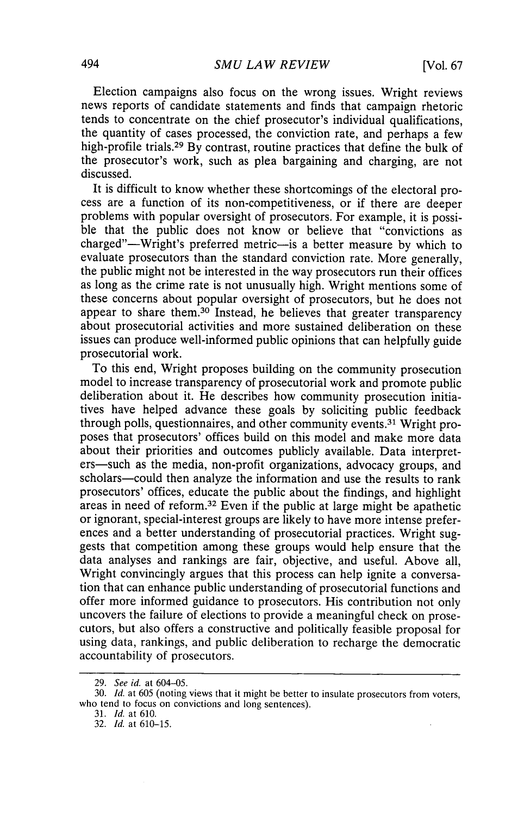Election campaigns also focus on the wrong issues. Wright reviews news reports of candidate statements and finds that campaign rhetoric tends to concentrate on the chief prosecutor's individual qualifications, the quantity of cases processed, the conviction rate, and perhaps a few high-profile trials. <sup>29</sup>**By** contrast, routine practices that define the bulk of the prosecutor's work, such as plea bargaining and charging, are not discussed.

It is difficult to know whether these shortcomings of the electoral process are a function of its non-competitiveness, or if there are deeper problems with popular oversight of prosecutors. For example, it is possible that the public does not know or believe that "convictions as charged"-Wright's preferred metric-is a better measure **by** which to evaluate prosecutors than the standard conviction rate. More generally, the public might not be interested in the way prosecutors run their offices as long as the crime rate is not unusually high. Wright mentions some of these concerns about popular oversight of prosecutors, but he does not appear to share them.30 Instead, he believes that greater transparency about prosecutorial activities and more sustained deliberation on these issues can produce well-informed public opinions that can helpfully guide prosecutorial work.

To this end, Wright proposes building on the community prosecution model to increase transparency of prosecutorial work and promote public deliberation about it. He describes how community prosecution initiatives have helped advance these goals **by** soliciting public feedback through polls, questionnaires, and other community events.31 Wright proposes that prosecutors' offices build on this model and make more data about their priorities and outcomes publicly available. Data interpreters-such as the media, non-profit organizations, advocacy groups, and scholars-could then analyze the information and use the results to rank prosecutors' offices, educate the public about the findings, and highlight areas in need of reform.32 Even if the public at large might be apathetic or ignorant, special-interest groups are likely to have more intense preferences and a better understanding of prosecutorial practices. Wright suggests that competition among these groups would help ensure that the data analyses and rankings are fair, objective, and useful. Above all, Wright convincingly argues that this process can help ignite a conversation that can enhance public understanding of prosecutorial functions and offer more informed guidance to prosecutors. His contribution not only uncovers the failure of elections to provide a meaningful check on prosecutors, but also offers a constructive and politically feasible proposal for using data, rankings, and public deliberation to recharge the democratic accountability of prosecutors.

*<sup>29.</sup> See id. at* 604-05.

**<sup>30.</sup>** *Id. at* **605** (noting views that it might be better to insulate prosecutors from voters, who tend to focus on convictions and long sentences).

*<sup>31.</sup> Id.* at **610.**

**<sup>32.</sup>** *Id.* at **610-15.**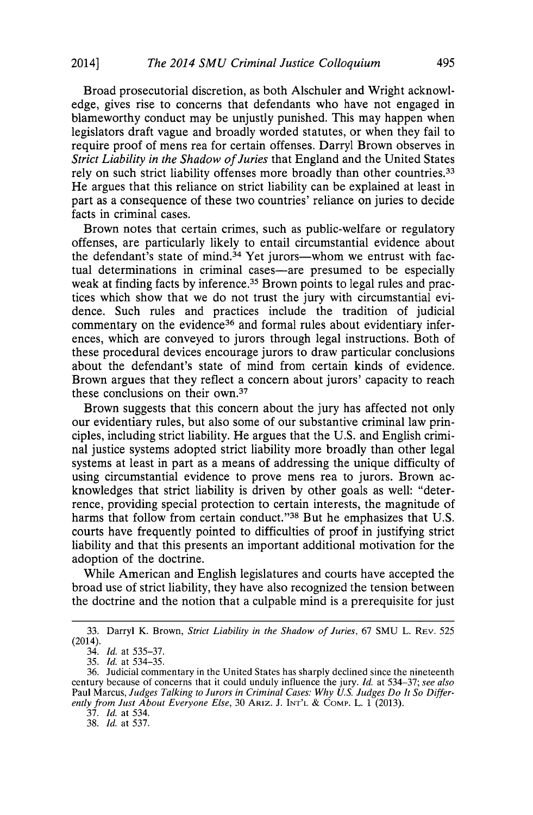Broad prosecutorial discretion, as both Alschuler and Wright acknowledge, gives rise to concerns that defendants who have not engaged in blameworthy conduct may be unjustly punished. This may happen when legislators draft vague and broadly worded statutes, or when they fail to require proof of mens rea for certain offenses. Darryl Brown observes in *Strict Liability in the Shadow of Juries* that England and the United States rely on such strict liability offenses more broadly than other countries.<sup>33</sup> He argues that this reliance on strict liability can be explained at least in part as a consequence of these two countries' reliance on juries to decide facts in criminal cases.

Brown notes that certain crimes, such as public-welfare or regulatory offenses, are particularly likely to entail circumstantial evidence about the defendant's state of mind.<sup>34</sup> Yet jurors--whom we entrust with factual determinations in criminal cases—are presumed to be especially weak at finding facts by inference.<sup>35</sup> Brown points to legal rules and practices which show that we do not trust the jury with circumstantial evidence. Such rules and practices include the tradition of judicial commentary on the evidence<sup>36</sup> and formal rules about evidentiary inferences, which are conveyed to jurors through legal instructions. Both of these procedural devices encourage jurors to draw particular conclusions about the defendant's state of mind from certain kinds of evidence. Brown argues that they reflect a concern about jurors' capacity to reach these conclusions on their own.<sup>37</sup>

Brown suggests that this concern about the jury has affected not only our evidentiary rules, but also some of our substantive criminal law principles, including strict liability. He argues that the **U.S.** and English criminal justice systems adopted strict liability more broadly than other legal systems at least in part as a means of addressing the unique difficulty of using circumstantial evidence to prove mens rea to jurors. Brown acknowledges that strict liability is driven **by** other goals as well: "deterrence, providing special protection to certain interests, the magnitude of harms that follow from certain conduct."38 But he emphasizes that **U.S.** courts have frequently pointed to difficulties of proof in justifying strict liability and that this presents an important additional motivation for the adoption of the doctrine.

While American and English legislatures and courts have accepted the broad use of strict liability, they have also recognized the tension between the doctrine and the notion that a culpable mind is a prerequisite for just

**37.** *Id.* at 534.

**38.** *Id.* at *537.*

**<sup>33.</sup>** Darryl K. Brown, *Strict Liability in the Shadow of Juries, 67* **SMU** L. **REV. 525** (2014).

<sup>34.</sup> *Id.* at **535-37.**

**<sup>35.</sup>** *Id.* at *534-35.*

**<sup>36.</sup>** Judicial commentary in the United States has sharply declined since the nineteenth century because of concerns that it could unduly influence the jury. *Id.* at **534-37;** *see also* Paul Marcus, *Judges Talking to Jurors in Criminal Cases: Why U.S. Judges Do It So Differently from Just About Everyone Else,* **30 ARIZ. J. INT'L & COMP.** L. **1 (2013).**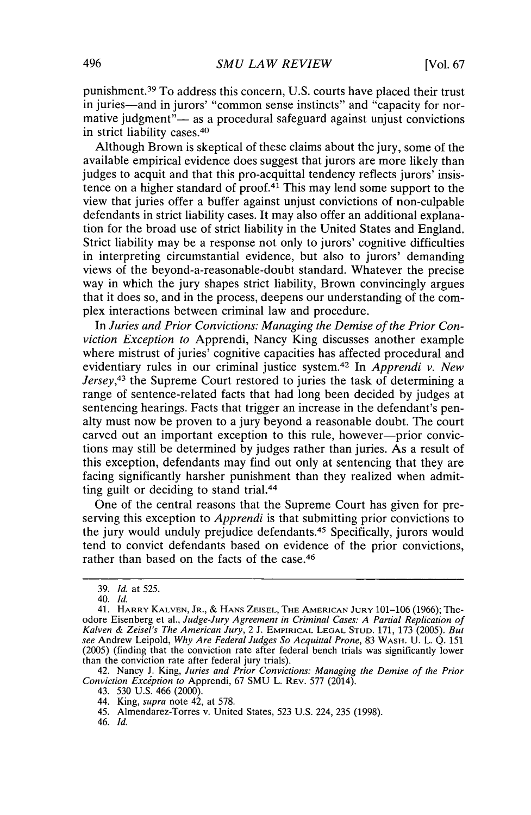punishment. 39 To address this concern, **U.S.** courts have placed their trust in juries-and in jurors' "common sense instincts" and "capacity for normative judgment" $-$  as a procedural safeguard against unjust convictions in strict liability cases. <sup>40</sup>

Although Brown is skeptical of these claims about the jury, some of the available empirical evidence does suggest that jurors are more likely than judges to acquit and that this pro-acquittal tendency reflects jurors' insistence on a higher standard of proof. $4<sup>1</sup>$  This may lend some support to the view that juries offer a buffer against unjust convictions of non-culpable defendants in strict liability cases. It may also offer an additional explanation for the broad use of strict liability in the United States and England. Strict liability may be a response not only to jurors' cognitive difficulties in interpreting circumstantial evidence, but also to jurors' demanding views of the beyond-a-reasonable-doubt standard. Whatever the precise way in which the jury shapes strict liability, Brown convincingly argues that it does so, and in the process, deepens our understanding of the complex interactions between criminal law and procedure.

*In Juries and Prior Convictions: Managing the Demise of the Prior Conviction Exception to* Apprendi, Nancy King discusses another example where mistrust of juries' cognitive capacities has affected procedural and evidentiary rules in our criminal justice system. 42 In *Apprendi v. New Jersey,43* the Supreme Court restored to juries the task of determining a range of sentence-related facts that had long been decided **by** judges at sentencing hearings. Facts that trigger an increase in the defendant's penalty must now be proven to a jury beyond a reasonable doubt. The court carved out an important exception to this rule, however--prior convictions may still be determined **by** judges rather than juries. As a result of this exception, defendants may find out only at sentencing that they are facing significantly harsher punishment than they realized when admitting guilt or deciding to stand trial.<sup>44</sup>

One of the central reasons that the Supreme Court has given for preserving this exception to *Apprendi* is that submitting prior convictions to the jury would unduly prejudice defendants.45 Specifically, jurors would tend to convict defendants based on evidence of the prior convictions, rather than based on the facts of the case. <sup>46</sup>

**<sup>39.</sup>** *Id. at* **525.**

*<sup>40.</sup> Id.*

<sup>41.</sup> HARRY **KALVEN,** JR., *&* **HANS ZEISEL, THE AMERICAN JURY 101-106 (1966);** Theodore Eisenberg et al., *Judge-Jury Agreement in Criminal Cases: A Partial Replication of Kalven & Zeisel's The American Jury,* 2 **J. EMPIRICAL LEGAL STUD. 171, 173 (2005).** *But see* Andrew Leipold, *Why Are Federal Judges So Acquittal Prone,* **83** WASH. **U.** L. **Q. 151 (2005)** (finding that the conviction rate after federal bench trials was significantly lower than the conviction rate after federal jury trials).

<sup>42.</sup> Nancy **J.** King, *Juries and Prior Convictions: Managing the Demise of the Prior Conviction Exception to* Apprendi, **67 SMU** L. **REV. 577** (2014).

<sup>43.</sup> **530 U.S.** 466 (2000).

<sup>44.</sup> King, *supra* note 42, at **578.**

<sup>45.</sup> Almendarez-Torres v. United States, **523 U.S.** 224, **235 (1998).**

<sup>46.</sup> *Id.*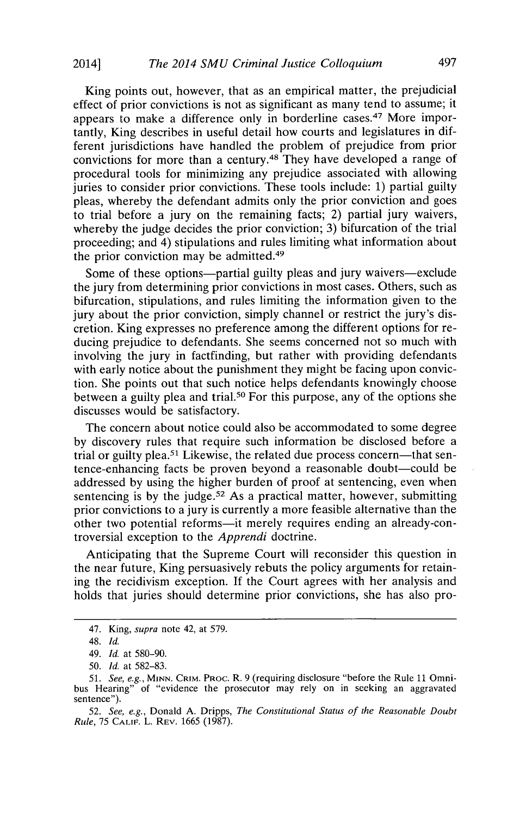King points out, however, that as an empirical matter, the prejudicial effect of prior convictions is not as significant as many tend to assume; it appears to make a difference only in borderline cases.<sup>47</sup> More importantly, King describes in useful detail how courts and legislatures in different jurisdictions have handled the problem of prejudice from prior convictions for more than a century. 48 They have developed a range of procedural tools for minimizing any prejudice associated with allowing juries to consider prior convictions. These tools include: **1)** partial guilty pleas, whereby the defendant admits only the prior conviction and goes to trial before a jury on the remaining facts; 2) partial jury waivers, whereby the judge decides the prior conviction; **3)** bifurcation of the trial proceeding; and 4) stipulations and rules limiting what information about the prior conviction may be admitted.<sup>49</sup>

Some of these options—partial guilty pleas and jury waivers—exclude the jury from determining prior convictions in most cases. Others, such as bifurcation, stipulations, and rules limiting the information given to the jury about the prior conviction, simply channel or restrict the jury's discretion. King expresses no preference among the different options for reducing prejudice to defendants. She seems concerned not so much with involving the jury in factfinding, but rather with providing defendants with early notice about the punishment they might be facing upon conviction. She points out that such notice helps defendants knowingly choose between a guilty plea and trial.<sup>50</sup> For this purpose, any of the options she discusses would be satisfactory.

The concern about notice could also be accommodated to some degree **by** discovery rules that require such information be disclosed before a trial or guilty **plea.<sup>51</sup>**Likewise, the related due process concern-that sentence-enhancing facts be proven beyond a reasonable doubt—could be addressed **by** using the higher burden of proof at sentencing, even when sentencing is by the judge.<sup>52</sup> As a practical matter, however, submitting prior convictions to a jury is currently a more feasible alternative than the other two potential reforms—it merely requires ending an already-controversial exception to the *Apprendi* doctrine.

Anticipating that the Supreme Court will reconsider this question in the near future, King persuasively rebuts the policy arguments for retaining the recidivism exception. **If** the Court agrees with her analysis and holds that juries should determine prior convictions, she has also pro-

<sup>47.</sup> King, supra note 42, at **579.**

<sup>48.</sup> *Id.*

*<sup>49.</sup> Id. at* **580-90.**

*<sup>50.</sup> Id. at* **582-83.**

**<sup>51.</sup>** *See, e.g., MINN.* **CRIM. PRoc.** R. **9** (requiring disclosure "before the Rule **11** Omniof "evidence the prosecutor may rely on in seeking an aggravated sentence").

*<sup>52.</sup> See, e.g.,* Donald **A.** Dripps, *The Constitutional Status of the Reasonable Doubt Rule,* **75 CALIF.** L. **REV.** *1665* **(1987).**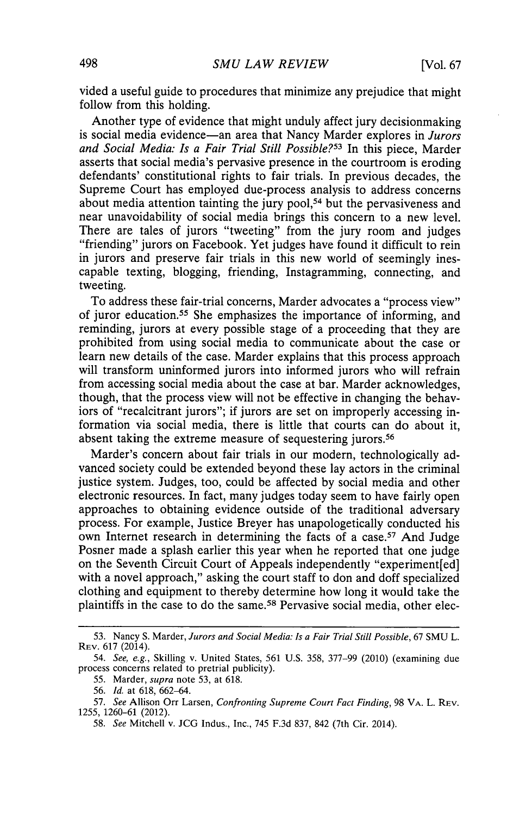vided a useful guide to procedures that minimize any prejudice that might follow from this holding.

Another type of evidence that might unduly affect jury decisionmaking is social media evidence-an area that Nancy Marder explores in *Jurors and Social Media: Is a Fair Trial Still Possible?53* In this piece, Marder asserts that social media's pervasive presence in the courtroom is eroding defendants' constitutional rights to fair trials. In previous decades, the Supreme Court has employed due-process analysis to address concerns about media attention tainting the jury **pool, <sup>5</sup> <sup>4</sup>**but the pervasiveness and near unavoidability of social media brings this concern to a new level. There are tales of jurors "tweeting" from the jury room and judges "friending" jurors on Facebook. Yet judges have found it difficult to rein in jurors and preserve fair trials in this new world of seemingly inescapable texting, blogging, friending, Instagramming, connecting, and tweeting.

To address these fair-trial concerns, Marder advocates a "process view" of juror education.55 She emphasizes the importance of informing, and reminding, jurors at every possible stage of a proceeding that they are prohibited from using social media to communicate about the case or learn new details of the case. Marder explains that this process approach will transform uninformed jurors into informed jurors who will refrain from accessing social media about the case at bar. Marder acknowledges, though, that the process view will not be effective in changing the behaviors of "recalcitrant jurors"; if jurors are set on improperly accessing information via social media, there is little that courts can do about it, absent taking the extreme measure of sequestering jurors.<sup>56</sup>

Marder's concern about fair trials in our modern, technologically advanced society could be extended beyond these lay actors in the criminal justice system. Judges, too, could be affected **by** social media and other electronic resources. In fact, many judges today seem to have fairly open approaches to obtaining evidence outside of the traditional adversary process. For example, Justice Breyer has unapologetically conducted his own Internet research in determining the facts of a case.<sup>57</sup> And Judge Posner made a splash earlier this year when he reported that one judge on the Seventh Circuit Court of Appeals independently "experiment[ed] with a novel approach," asking the court staff to don and doff specialized clothing and equipment to thereby determine how long it would take the plaintiffs in the case to do the same.58 Pervasive social media, other elec-

**<sup>53.</sup>** Nancy **S.** Marder, *Jurors and Social Media: Is a Fair Trial Still Possible, 67* **SMU** L. **REV. 617** (2014).

*<sup>54.</sup> See, e.g.,* Skilling v. United States, **561 U.S. 358, 377-99** (2010) (examining due process concerns related to pretrial publicity).

*<sup>55.</sup>* Marder, *supra* note **53,** at **618.**

**<sup>56.</sup>** *Id.* at **618, 662-64.**

**<sup>57.</sup>** *See* Allison Orr Larsen, *Confronting Supreme Court Fact Finding,* **98 VA.** L. **REV. 1255, 1260-61** (2012).

*<sup>58.</sup> See* Mitchell v. **JCG** Indus., Inc., 745 **F.3d 837,** 842 (7th Cir. 2014).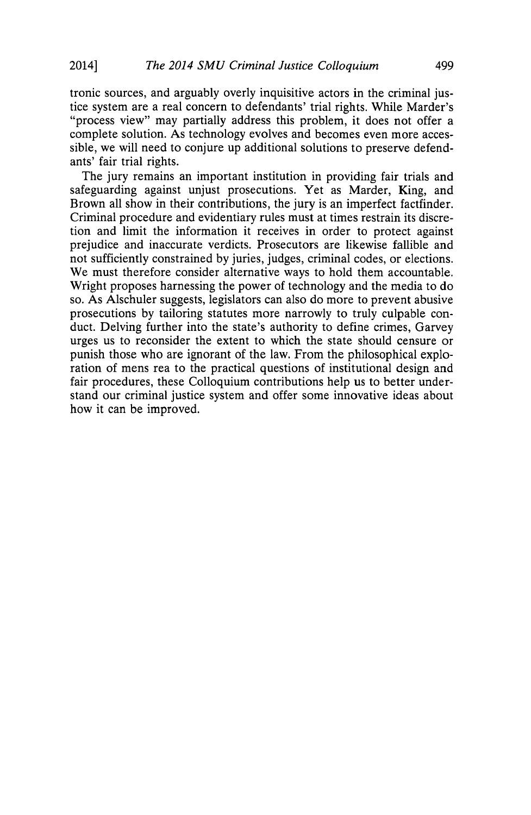tronic sources, and arguably overly inquisitive actors in the criminal justice system are a real concern to defendants' trial rights. While Marder's "process view" may partially address this problem, it does not offer a complete solution. As technology evolves and becomes even more accessible, we will need to conjure up additional solutions to preserve defendants' fair trial rights.

The jury remains an important institution in providing fair trials and safeguarding against unjust prosecutions. Yet as Marder, King, and Brown all show in their contributions, the jury is an imperfect factfinder. Criminal procedure and evidentiary rules must at times restrain its discretion and limit the information it receives in order to protect against prejudice and inaccurate verdicts. Prosecutors are likewise fallible and not sufficiently constrained **by** juries, judges, criminal codes, or elections. We must therefore consider alternative ways to hold them accountable. Wright proposes harnessing the power of technology and the media to do so. As Alschuler suggests, legislators can also do more to prevent abusive prosecutions **by** tailoring statutes more narrowly to truly culpable conduct. Delving further into the state's authority to define crimes, Garvey urges us to reconsider the extent to which the state should censure or punish those who are ignorant of the law. From the philosophical exploration of mens rea to the practical questions of institutional design and fair procedures, these Colloquium contributions help us to better understand our criminal justice system and offer some innovative ideas about how it can be improved.